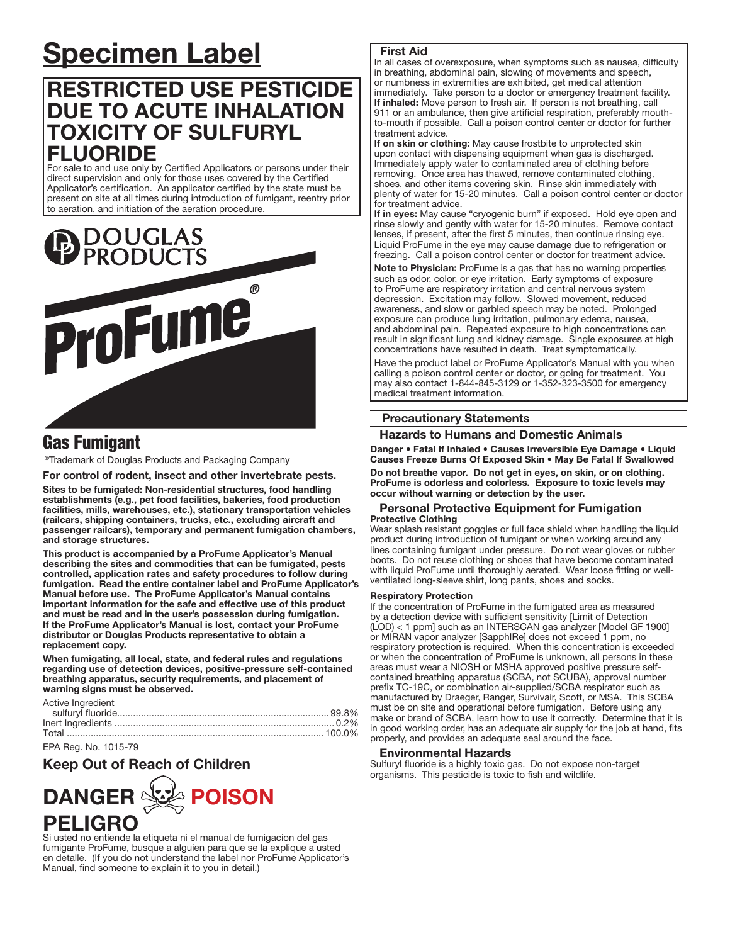# Specimen Label

# RESTRICTED USE PESTICIDE DUE TO ACUTE INHALATION TOXICITY OF SULFURYL FLUORIDE

For sale to and use only by Certified Applicators or persons under their direct supervision and only for those uses covered by the Certified Applicator's certification. An applicator certified by the state must be present on site at all times during introduction of fumigant, reentry prior to aeration, and initiation of the aeration procedure.



## Gas Fumigant

®Trademark of Douglas Products and Packaging Company

For control of rodent, insect and other invertebrate pests.

Sites to be fumigated: Non-residential structures, food handling establishments (e.g., pet food facilities, bakeries, food production facilities, mills, warehouses, etc.), stationary transportation vehicles (railcars, shipping containers, trucks, etc., excluding aircraft and passenger railcars), temporary and permanent fumigation chambers, and storage structures.

This product is accompanied by a ProFume Applicator's Manual describing the sites and commodities that can be fumigated, pests controlled, application rates and safety procedures to follow during fumigation. Read the entire container label and ProFume Applicator's Manual before use. The ProFume Applicator's Manual contains important information for the safe and effective use of this product and must be read and in the user's possession during fumigation. If the ProFume Applicator's Manual is lost, contact your ProFume distributor or Douglas Products representative to obtain a replacement copy.

When fumigating, all local, state, and federal rules and regulations regarding use of detection devices, positive-pressure self-contained breathing apparatus, security requirements, and placement of warning signs must be observed.

Active Ingredient

| , wave mgrouione |  |
|------------------|--|
|                  |  |
|                  |  |
|                  |  |
|                  |  |

### EPA Reg. No. 1015-79

## Keep Out of Reach of Children



Si usted no entiende la etiqueta ni el manual de fumigacion del gas fumigante ProFume, busque a alguien para que se la explique a usted en detalle. (If you do not understand the label nor ProFume Applicator's Manual, find someone to explain it to you in detail.)

### First Aid

In all cases of overexposure, when symptoms such as nausea, difficulty in breathing, abdominal pain, slowing of movements and speech, or numbness in extremities are exhibited, get medical attention immediately. Take person to a doctor or emergency treatment facility. If inhaled: Move person to fresh air. If person is not breathing, call 911 or an ambulance, then give artificial respiration, preferably mouthto-mouth if possible. Call a poison control center or doctor for further treatment advice.

If on skin or clothing: May cause frostbite to unprotected skin upon contact with dispensing equipment when gas is discharged. Immediately apply water to contaminated area of clothing before removing. Once area has thawed, remove contaminated clothing, shoes, and other items covering skin. Rinse skin immediately with plenty of water for 15-20 minutes. Call a poison control center or doctor for treatment advice.

If in eyes: May cause "cryogenic burn" if exposed. Hold eye open and rinse slowly and gently with water for 15-20 minutes. Remove contact lenses, if present, after the first 5 minutes, then continue rinsing eye. Liquid ProFume in the eye may cause damage due to refrigeration or freezing. Call a poison control center or doctor for treatment advice.

Note to Physician: ProFume is a gas that has no warning properties such as odor, color, or eye irritation. Early symptoms of exposure to ProFume are respiratory irritation and central nervous system depression. Excitation may follow. Slowed movement, reduced awareness, and slow or garbled speech may be noted. Prolonged exposure can produce lung irritation, pulmonary edema, nausea, and abdominal pain. Repeated exposure to high concentrations can result in significant lung and kidney damage. Single exposures at high concentrations have resulted in death. Treat symptomatically.

Have the product label or ProFume Applicator's Manual with you when calling a poison control center or doctor, or going for treatment. You may also contact 1-844-845-3129 or 1-352-323-3500 for emergency medical treatment information. Ļ

## Precautionary Statements

Hazards to Humans and Domestic Animals

Danger • Fatal If Inhaled • Causes Irreversible Eye Damage • Liquid Causes Freeze Burns Of Exposed Skin • May Be Fatal If Swallowed

Do not breathe vapor. Do not get in eyes, on skin, or on clothing. ProFume is odorless and colorless. Exposure to toxic levels may occur without warning or detection by the user.

#### Personal Protective Equipment for Fumigation Protective Clothing

Wear splash resistant goggles or full face shield when handling the liquid product during introduction of fumigant or when working around any lines containing fumigant under pressure. Do not wear gloves or rubber boots. Do not reuse clothing or shoes that have become contaminated with liquid ProFume until thoroughly aerated. Wear loose fitting or wellventilated long-sleeve shirt, long pants, shoes and socks.

#### Respiratory Protection

If the concentration of ProFume in the fumigated area as measured by a detection device with sufficient sensitivity [Limit of Detection  $(LOD) \leq 1$  ppm] such as an INTERSCAN gas analyzer [Model GF 1900] or MIRAN vapor analyzer [SapphIRe] does not exceed 1 ppm, no respiratory protection is required. When this concentration is exceeded or when the concentration of ProFume is unknown, all persons in these areas must wear a NIOSH or MSHA approved positive pressure selfcontained breathing apparatus (SCBA, not SCUBA), approval number prefix TC-19C, or combination air-supplied/SCBA respirator such as manufactured by Draeger, Ranger, Survivair, Scott, or MSA. This SCBA must be on site and operational before fumigation. Before using any make or brand of SCBA, learn how to use it correctly. Determine that it is in good working order, has an adequate air supply for the job at hand, fits properly, and provides an adequate seal around the face.

### Environmental Hazards

Sulfuryl fluoride is a highly toxic gas. Do not expose non-target organisms. This pesticide is toxic to fish and wildlife.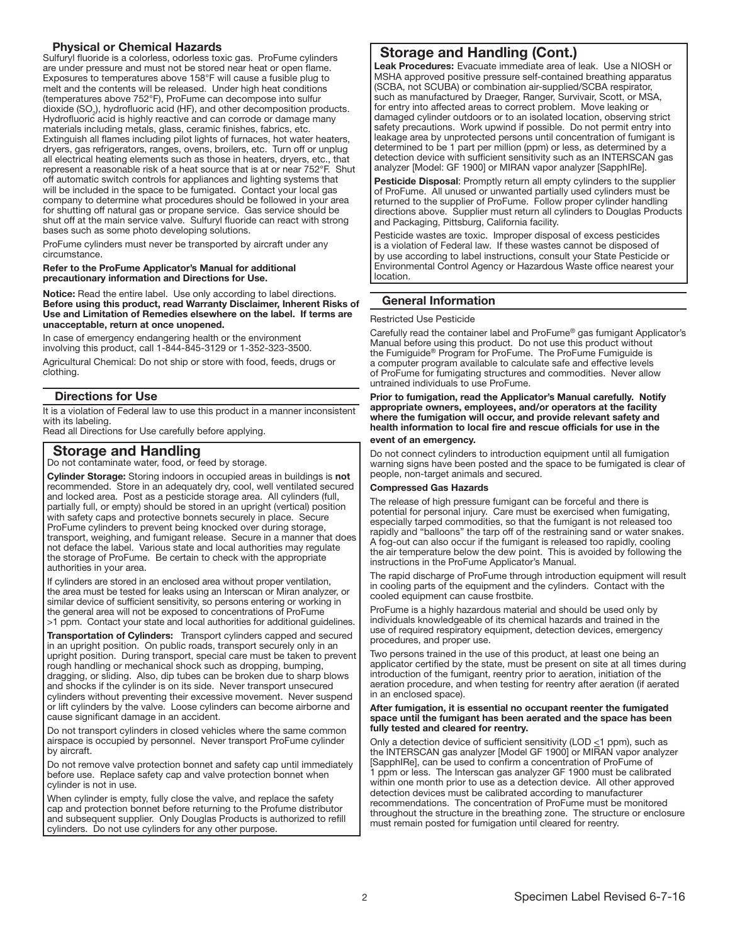## Physical or Chemical Hazards

Sulfuryl fluoride is a colorless, odorless toxic gas. ProFume cylinders are under pressure and must not be stored near heat or open flame. Exposures to temperatures above 158°F will cause a fusible plug to melt and the contents will be released. Under high heat conditions (temperatures above 752°F), ProFume can decompose into sulfur dioxide (SO<sub>2</sub>), hydrofluoric acid (HF), and other decomposition products. Hydrofluoric acid is highly reactive and can corrode or damage many materials including metals, glass, ceramic finishes, fabrics, etc. Extinguish all flames including pilot lights of furnaces, hot water heaters, dryers, gas refrigerators, ranges, ovens, broilers, etc. Turn off or unplug all electrical heating elements such as those in heaters, dryers, etc., that represent a reasonable risk of a heat source that is at or near 752°F. Shut off automatic switch controls for appliances and lighting systems that will be included in the space to be fumigated. Contact your local gas company to determine what procedures should be followed in your area for shutting off natural gas or propane service. Gas service should be shut off at the main service valve. Sulfuryl fluoride can react with strong bases such as some photo developing solutions.

ProFume cylinders must never be transported by aircraft under any circumstance.

## Refer to the ProFume Applicator's Manual for additional precautionary information and Directions for Use.

Notice: Read the entire label. Use only according to label directions. Before using this product, read Warranty Disclaimer, Inherent Risks of Use and Limitation of Remedies elsewhere on the label. If terms are unacceptable, return at once unopened.

In case of emergency endangering health or the environment involving this product, call 1-844-845-3129 or 1-352-323-3500.

Agricultural Chemical: Do not ship or store with food, feeds, drugs or clothing.

## Directions for Use

It is a violation of Federal law to use this product in a manner inconsistent with its labeling.

Read all Directions for Use carefully before applying.

## Storage and Handling

Do not contaminate water, food, or feed by storage.

Cylinder Storage: Storing indoors in occupied areas in buildings is not recommended. Store in an adequately dry, cool, well ventilated secured and locked area. Post as a pesticide storage area. All cylinders (full, partially full, or empty) should be stored in an upright (vertical) position with safety caps and protective bonnets securely in place. Secure ProFume cylinders to prevent being knocked over during storage, transport, weighing, and fumigant release. Secure in a manner that does not deface the label. Various state and local authorities may regulate the storage of ProFume. Be certain to check with the appropriate authorities in your area.

If cylinders are stored in an enclosed area without proper ventilation, the area must be tested for leaks using an Interscan or Miran analyzer, or similar device of sufficient sensitivity, so persons entering or working in the general area will not be exposed to concentrations of ProFume >1 ppm. Contact your state and local authorities for additional guidelines.

Transportation of Cylinders: Transport cylinders capped and secured in an upright position. On public roads, transport securely only in an upright position. During transport, special care must be taken to prevent rough handling or mechanical shock such as dropping, bumping, dragging, or sliding. Also, dip tubes can be broken due to sharp blows and shocks if the cylinder is on its side. Never transport unsecured cylinders without preventing their excessive movement. Never suspend or lift cylinders by the valve. Loose cylinders can become airborne and cause significant damage in an accident.

Do not transport cylinders in closed vehicles where the same common airspace is occupied by personnel. Never transport ProFume cylinder by aircraft.

Do not remove valve protection bonnet and safety cap until immediately before use. Replace safety cap and valve protection bonnet when cylinder is not in use.

When cylinder is empty, fully close the valve, and replace the safety cap and protection bonnet before returning to the Profume distributor and subsequent supplier. Only Douglas Products is authorized to refill cylinders. Do not use cylinders for any other purpose.

## Storage and Handling (Cont.)

Leak Procedures: Evacuate immediate area of leak. Use a NIOSH or MSHA approved positive pressure self-contained breathing apparatus (SCBA, not SCUBA) or combination air-supplied/SCBA respirator, such as manufactured by Draeger, Ranger, Survivair, Scott, or MSA, for entry into affected areas to correct problem. Move leaking or damaged cylinder outdoors or to an isolated location, observing strict safety precautions. Work upwind if possible. Do not permit entry into leakage area by unprotected persons until concentration of fumigant is determined to be 1 part per million (ppm) or less, as determined by a detection device with sufficient sensitivity such as an INTERSCAN gas analyzer [Model: GF 1900] or MIRAN vapor analyzer [SapphIRe].

Pesticide Disposal: Promptly return all empty cylinders to the supplier of ProFume. All unused or unwanted partially used cylinders must be returned to the supplier of ProFume. Follow proper cylinder handling directions above. Supplier must return all cylinders to Douglas Products and Packaging, Pittsburg, California facility.

Pesticide wastes are toxic. Improper disposal of excess pesticides is a violation of Federal law. If these wastes cannot be disposed of by use according to label instructions, consult your State Pesticide or Environmental Control Agency or Hazardous Waste office nearest your location.

## General Information

#### Restricted Use Pesticide

ļ

Carefully read the container label and ProFume® gas fumigant Applicator's Manual before using this product. Do not use this product without the Fumiguide® Program for ProFume. The ProFume Fumiguide is a computer program available to calculate safe and effective levels of ProFume for fumigating structures and commodities. Never allow untrained individuals to use ProFume.

#### Prior to fumigation, read the Applicator's Manual carefully. Notify appropriate owners, employees, and/or operators at the facility where the fumigation will occur, and provide relevant safety and health information to local fire and rescue officials for use in the event of an emergency.

Do not connect cylinders to introduction equipment until all fumigation warning signs have been posted and the space to be fumigated is clear of people, non-target animals and secured.

## Compressed Gas Hazards

The release of high pressure fumigant can be forceful and there is potential for personal injury. Care must be exercised when fumigating, especially tarped commodities, so that the fumigant is not released too rapidly and "balloons" the tarp off of the restraining sand or water snakes. A fog-out can also occur if the fumigant is released too rapidly, cooling the air temperature below the dew point. This is avoided by following the instructions in the ProFume Applicator's Manual.

The rapid discharge of ProFume through introduction equipment will result in cooling parts of the equipment and the cylinders. Contact with the cooled equipment can cause frostbite.

ProFume is a highly hazardous material and should be used only by individuals knowledgeable of its chemical hazards and trained in the use of required respiratory equipment, detection devices, emergency procedures, and proper use.

Two persons trained in the use of this product, at least one being an applicator certified by the state, must be present on site at all times during introduction of the fumigant, reentry prior to aeration, initiation of the aeration procedure, and when testing for reentry after aeration (if aerated in an enclosed space).

#### After fumigation, it is essential no occupant reenter the fumigated space until the fumigant has been aerated and the space has been fully tested and cleared for reentry.

Only a detection device of sufficient sensitivity (LOD  $\leq$ 1 ppm), such as the INTERSCAN gas analyzer [Model GF 1900] or MIRAN vapor analyzer [SapphIRe], can be used to confirm a concentration of ProFume of ppm or less. The Interscan gas analyzer GF 1900 must be calibrated within one month prior to use as a detection device. All other approved detection devices must be calibrated according to manufacturer recommendations. The concentration of ProFume must be monitored throughout the structure in the breathing zone. The structure or enclosure must remain posted for fumigation until cleared for reentry.